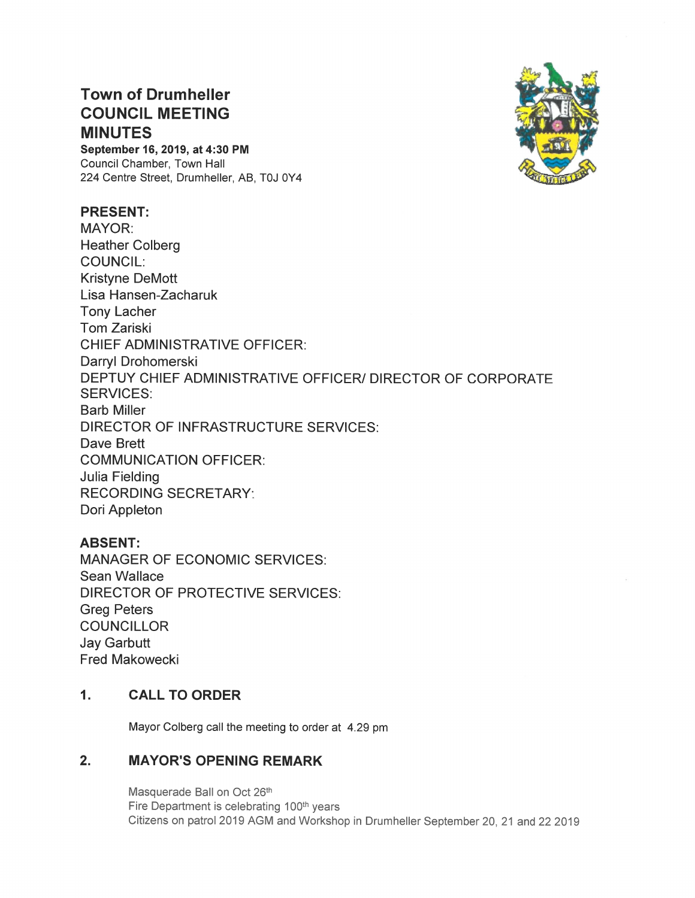# **Town of Drumheller COUNCIL MEETING MINUTES**

September 16, 2019, at 4:30 PM Council Chamber, Town Hall 224 Centre Street, Drumheller, AB, T0J 0Y4

### **PRESENT:**

**MAYOR: Heather Colberg COUNCIL: Kristyne DeMott** Lisa Hansen-Zacharuk **Tony Lacher Tom Zariski CHIEF ADMINISTRATIVE OFFICER:** Darryl Drohomerski DEPTUY CHIEF ADMINISTRATIVE OFFICER/ DIRECTOR OF CORPORATE **SERVICES: Barb Miller** DIRECTOR OF INFRASTRUCTURE SERVICES: Dave Brett **COMMUNICATION OFFICER: Julia Fielding RECORDING SECRETARY:** Dori Appleton

## **ABSENT:**

**MANAGER OF ECONOMIC SERVICES:** Sean Wallace **DIRECTOR OF PROTECTIVE SERVICES: Greg Peters COUNCILLOR Jay Garbutt Fred Makowecki** 

### **CALL TO ORDER**  $1<sub>1</sub>$

Mayor Colberg call the meeting to order at 4.29 pm

#### $2.$ **MAYOR'S OPENING REMARK**

Masquerade Ball on Oct 26th Fire Department is celebrating 100<sup>th</sup> years Citizens on patrol 2019 AGM and Workshop in Drumheller September 20, 21 and 22 2019

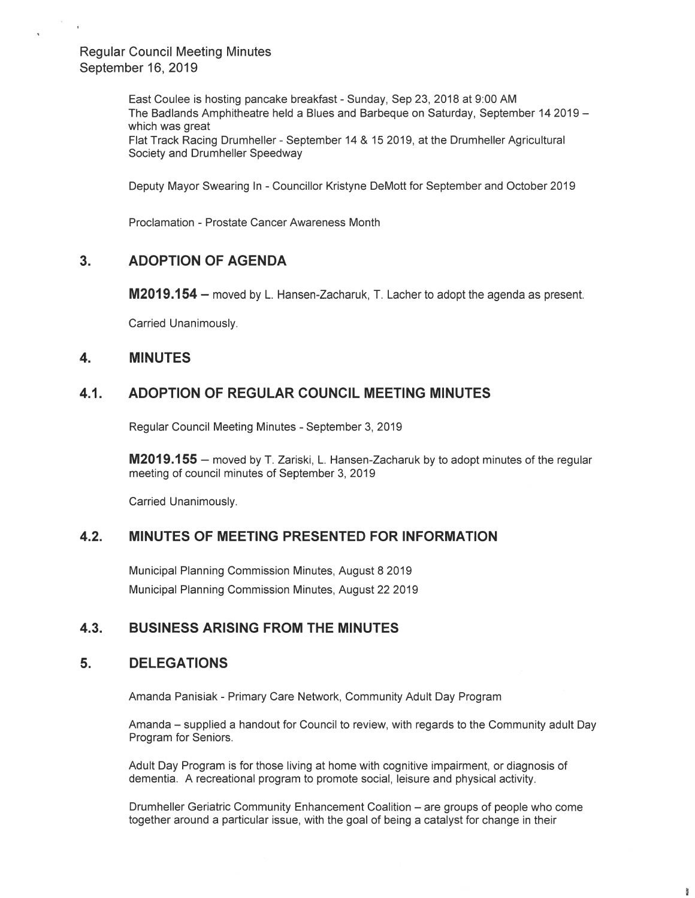**Regular Council Meeting Minutes** September 16, 2019

> East Coulee is hosting pancake breakfast - Sunday, Sep 23, 2018 at 9:00 AM The Badlands Amphitheatre held a Blues and Barbeque on Saturday, September 14 2019 which was great Flat Track Racing Drumheller - September 14 & 15 2019, at the Drumheller Agricultural Society and Drumheller Speedway

Deputy Mayor Swearing In - Councillor Kristyne DeMott for September and October 2019

Proclamation - Prostate Cancer Awareness Month

#### $3.$ **ADOPTION OF AGENDA**

M2019.154 – moved by L. Hansen-Zacharuk, T. Lacher to adopt the agenda as present.

Carried Unanimously.

#### $\mathbf{4}$ . **MINUTES**

#### $4.1.$ ADOPTION OF REGULAR COUNCIL MEETING MINUTES

Regular Council Meeting Minutes - September 3, 2019

**M2019.155** – moved by T. Zariski, L. Hansen-Zacharuk by to adopt minutes of the regular meeting of council minutes of September 3, 2019

Carried Unanimously.

#### $4.2.$ **MINUTES OF MEETING PRESENTED FOR INFORMATION**

Municipal Planning Commission Minutes, August 8 2019 Municipal Planning Commission Minutes, August 22 2019

#### $4.3.$ **BUSINESS ARISING FROM THE MINUTES**

#### 5. **DELEGATIONS**

Amanda Panisiak - Primary Care Network, Community Adult Day Program

Amanda – supplied a handout for Council to review, with regards to the Community adult Day Program for Seniors.

Adult Day Program is for those living at home with cognitive impairment, or diagnosis of dementia. A recreational program to promote social, leisure and physical activity.

Drumheller Geriatric Community Enhancement Coalition - are groups of people who come together around a particular issue, with the goal of being a catalyst for change in their

Ð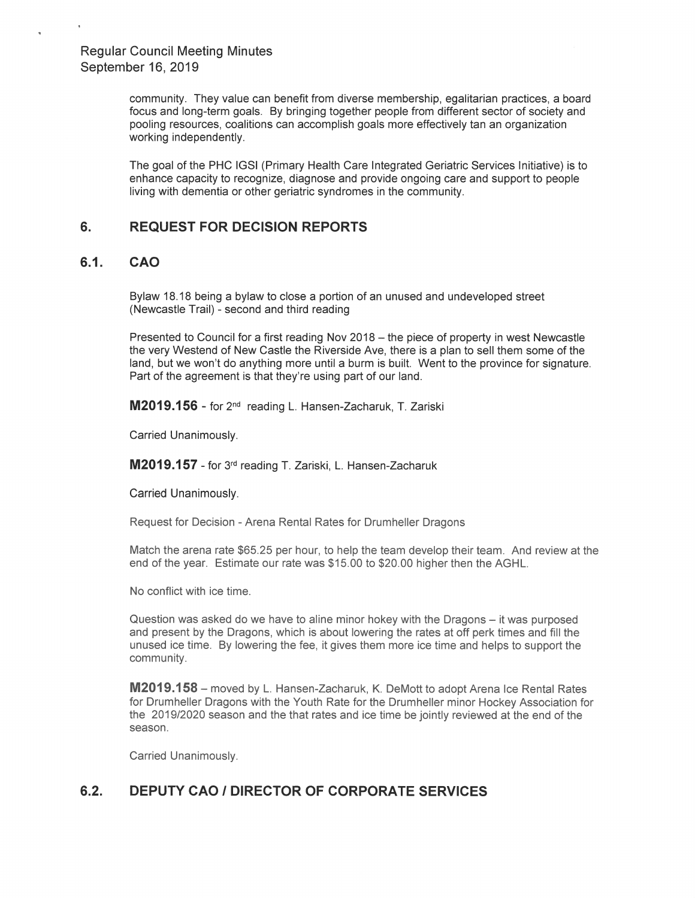community. They value can benefit from diverse membership, egalitarian practices, a board focus and long-term goals. By bringing together people from different sector of society and pooling resources, coalitions can accomplish goals more effectively tan an organization working independently.

The goal of the PHC IGSI(Primary Health Care Integrated Geriatric Services Initiative) is to enhance capacity to recognize, diagnose and provide ongoing care and support to people living with dementia or other geriatric syndromes in the community.

### 6. REQUEST FOR DECISION REPORTS

### 6.1. CAO

Bylaw 18.18 being a bylaw to close a portion of an unused and undeveloped street (Newcastle Trail) - second and third reading

Presented to Council for a first reading Nov 2018 — the piece of property in west Newcastle the very Westend of New Castle the Riverside Ave, there is a plan to sell them some of the land, but we won't do anything more until a burm is built. Went to the province for signature. Part of the agreement is that they're using part of our land.

M2019.156 - for 2<sup>nd</sup> reading L. Hansen-Zacharuk, T. Zariski

Carried Unanimously.

**M2019.157** - for 3<sup>rd</sup> reading T. Zariski, L. Hansen-Zacharuk

Carried Unanimously.

Request for Decision - Arena Rental Rates for Drumheller Dragons

Match the arena rate \$65.25 per hour, to help the team develop their team. And review at the end of the year. Estimate our rate was \$15.00 to \$20.00 higher then the AGHL.

No conflict with ice time.

Question was asked do we have to aline minor hokey with the Dragons — it was purposed and present by the Dragons, which is about lowering the rates at off perk times and fill the unused ice time. By lowering the fee, it gives them more ice time and helps to support the community.

**M2019.158** – moved by L. Hansen-Zacharuk, K. DeMott to adopt Arena Ice Rental Rates for Drumheller Dragons with the Youth Rate for the Drumheller minor Hockey Association for the 2019/2020 season and the that rates and ice time be jointly reviewed at the end of the season.

Carried Unanimously.

# 6.2. DEPUTY CAO I DIRECTOR OF CORPORATE SERVICES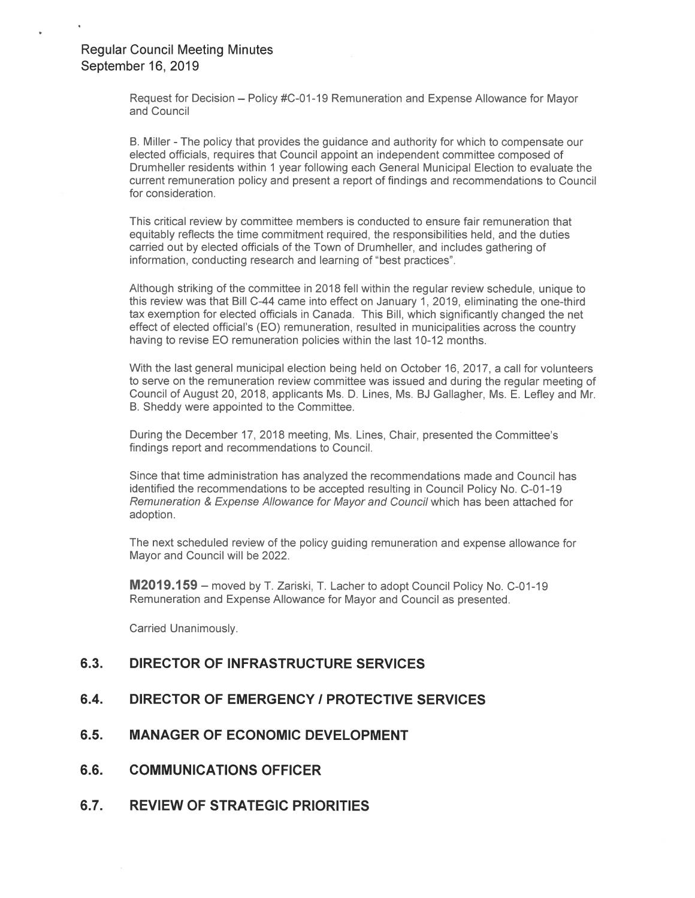Request for Decision – Policy #C-01-19 Remuneration and Expense Allowance for Mayor and Council

B. Miller - The policy that provides the guidance and authority for which to compensate our Drummeller residents within it year following each General Municipal Election to evaluate the<br>current remuneration policy and present a report of findings and recommendations to Council elected officials, requires that Council appoint an independent committee composed of Drumheller residents within 1 year following each General Municipal Election to evaluate the for consideration.

This critical review by committee members is conducted to ensure fair remuneration that This chilcal feview by committee members is conducted to ensure fair remuneration that<br>equitably reflects the time commitment required, the responsibilities held, and the duties barried bat by bibbled bindidle of the Tewit of Brammeller, and indicate<br>information, conducting research and learning of "best practices". carried out by elected officials of the Town of Drumheller, and includes gathering of

.. . Although striking of the committee in 2018 fell within the regular review schedule, unique to this review was that Bill C-44 came into effect on January 1, 2019, eliminating the one-third tax exemption for elected officials in Canada. This Bill, which significantly changed the net having to revise EO remuneration policies within the last 10-12 months. effect of elected official's (EO) remuneration, resulted in municipalities across the country

With the last general municipal election being held on October 16, 2017, a call for volunteers man are need general mannepar erection sering notation to costs from the regular meeting of<br>to serve on the remuneration review committee was issued and during the regular meeting of<br>Council of August 20, 2018, applicants B. Sheddy were appointed to the Committee. Council of August 20, 2018, applicants Ms. D. Lines, Ms. BJ Gallagher, Ms. E. Lefley and Mr.

. . I <sup>H</sup> During the December 17, 2018 meeting, Ms. Lines, Chair, presented the Committee's During the December 17, 2016 meeting, MS. Lines, G<br>findings report and recommendations to Council.

. ' . . . <sup>n</sup> identified the recommendations to be accepted resulting in Council Policy No. C-01-19 Remuneration & Expense Allowance for Mayor and Council which has been attached for Since that time administration has analyzed the recommendations made and Council has adoption.

The next scheduled review of the policy guiding remuneration and expense allowance for<br>Mayor and Council will be 2022 Mayor and Council will be 2022.

 ${\sf M2019.159}$  – moved by T. Zariski, T. Lacher to adopt Council Policy No. C-01-19 Remuneration and Expense Allowance for Mayor and Council as presented.

Carried Unanimously.

# 6.3. DIRECTOR OF INFRASTRUCTURE SERVICES

### 6.4. DIRECTOR OF EMERGENCY / PROTECTIVE SERVICES

- 6.5. MANAGER OF ECONOMIC DEVELOPMENT
- **6.6. COMMUNICATIONS OFFICER**
- 6.7. REVIEW OF STRATEGIC PRIORITIES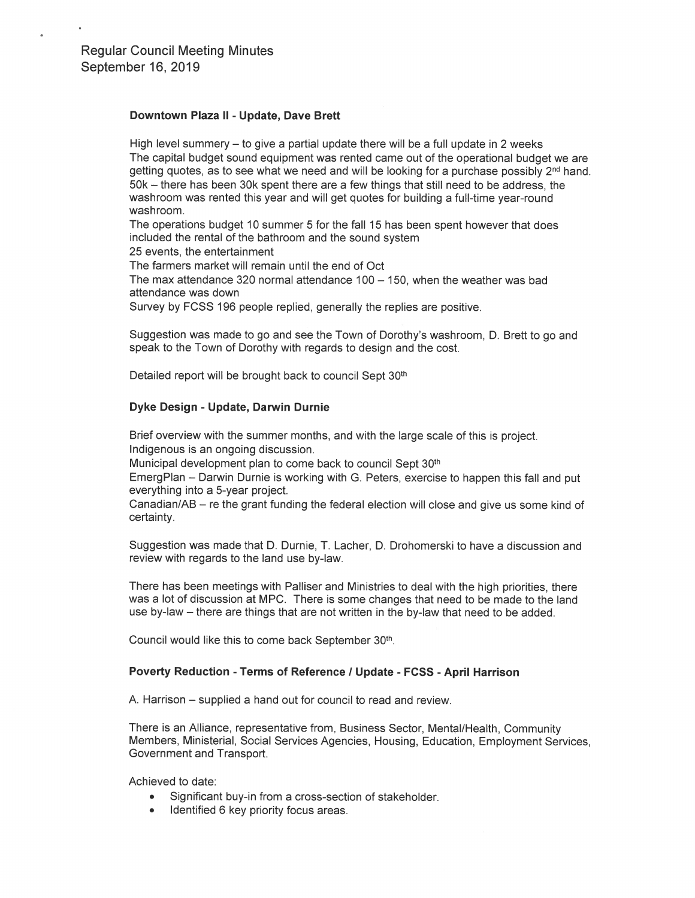### Downtown Plaza II - Update, Dave Brett

High level summery  $-$  to give a partial update there will be a full update in 2 weeks The capital budget sound equipment was rented came out of the operational budget we are getting quotes, as to see what we need and will be looking for a purchase possibly  $2<sup>nd</sup>$  hand. 50k – there has been 30k spent there are a few things that still need to be address, the washroom was rented this year and will get quotes for building a full-time year-round washroom.

The operations budget 10 summer 5 for the fall 15 has been spent however that does included the rental of the bathroom and the sound system

25 events, the entertainment

The farmers market will remain until the end of Oct

The max attendance 320 normal attendance  $100 - 150$ , when the weather was bad attendance was down

Survey by FCSS 196 people replied, generally the replies are positive.

Suggestion was made to go and see the Town of Dorothy's washroom, D. Brett to go and speak to the Town of Dorothy with regards to design and the cost.

Detailed report will be brought back to council Sept 30th

### Dyke Design - Update, Darwin Durnie

Brief overview with the summer months, and with the large scale of this is project. Indigenous is an ongoing discussion.

Municipal development plan to come back to council Sept 30<sup>th</sup>

EmergPlan - Darwin Durnie is working with G. Peters, exercise to happen this fall and put everything into a 5-year project.

Canadian/AB - re the grant funding the federal election will close and give us some kind of certainty.

Suggestion was made that D. Durnie, T. Lacher, D. Drohomerski to have a discussion and review with regards to the land use by-law.

There has been meetings with Palliser and Ministries to deal with the high priorities, there was a lot of discussion at MPC. There is some changes that need to be made to the land use by-law - there are things that are not written in the by-law that need to be added.

Council would like this to come back September 30th.

### Poverty Reduction - Terms of Reference / Update - FCSS - April Harrison

A. Harrison – supplied a hand out for council to read and review.

There is an Alliance, representative from, Business Sector, Mental/Health, Community Members, Ministerial, Social Services Agencies, Housing, Education, Employment Services, Government and Transport.

Achieved to date:

- Significant buy-in from a cross-section of stakeholder.  $\bullet$
- Identified 6 key priority focus areas.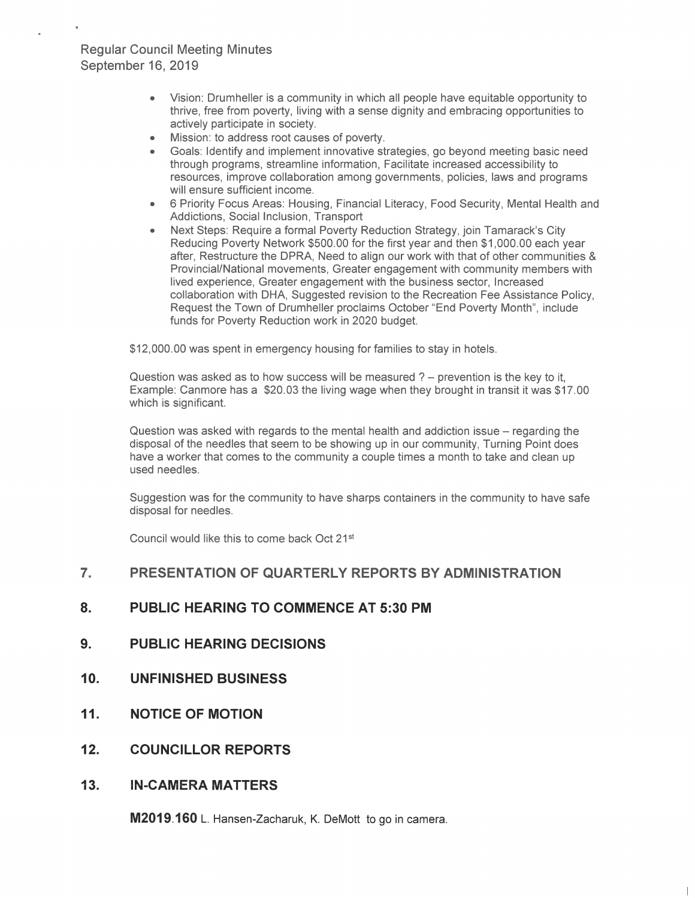## Regular Council Meeting Minutes September 16, 2019

- actively participate in society. thrive, free from poverty, living with a sense dignity and embracing opportunities to • Vision: Drumheller is a community in which all people have equitable opportunity to
- Mission: to address root causes of poverty.
- Goals: Identify and implement innovative strategies, go beyond meeting basic need through programs, streamline information, Facilitate increased accessibility to resources, improve collaboration among governments, policies, laws and programs will ensure sufficient income.
- 6 Priority Focus Areas: Housing, Financial Literacy, Food Security, Mental Health and Addictions, Social Inclusion, Transport
- "' n. Reducing Poverty Network \$500.00 for the first year and then \$1,000.00 each year Request the Town of Drumheller proclaims October "End Poverty Month", include ,. funds for Poverty Reduction work in 2020 budget. n Provincial/National movements, Greater engagement with community members with Next Steps: Require a formal Poverty Reduction Strategy, join Tamarack's City after, Restructure the DPRA, Need to align our work with that of other communities & lived experience, Greater engagement with the business sector, Increased collaboration with DHA, Suggested revision to the Recreation Fee Assistance Policy,

\$12,000.00 was spent in emergency housing for families to stay in hotels.

Example: Canmore has a \$20.03 the living wage when they brought in transit it was \$17.00 Question was asked as to how success will be measured ? — prevention is the key to it, which is significant.

Question was asked with regards to the mental health and addiction issue – regarding the disposal of the needles that seem to be showing up in our community, Turning Point does have a worker that comes to the community a couple times a month to take and clean up used needles.

Suggestion was for the community to have sharps containers in the community to have safe disposal for needles.

Council would like this to come back Oct 21<sup>st</sup>

### 7. PRESENTATION OF QUARTERLY REPORTS BY ADMINISTRATION

- 8. PUBLIC HEARING TO COMMENCE AT 5:30 PM
- 9. PUBLIC HEARING DECISIONS
- 10. UNFINISHED BUSINESS
- 11. NOTICE OF MOTION
- 12. COUNCILLOR REPORTS
- 13. IN-CAMERA MATTERS

M2019.160 L. Hansen-Zacharuk, K. DeMott to go in camera.